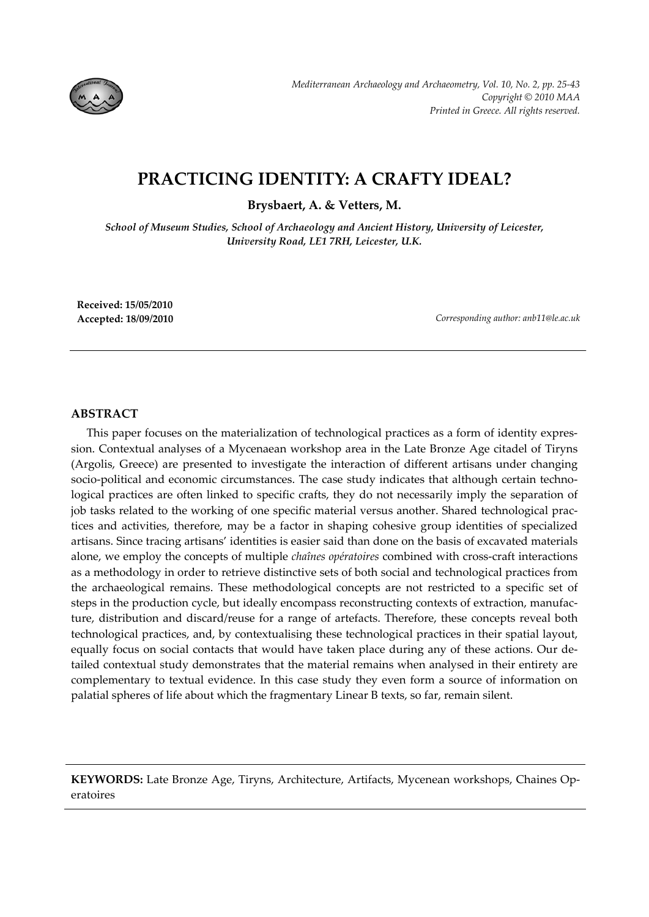

# **PRACTICING IDENTITY: A CRAFTY IDEAL?**

**Brysbaert, A. & Vetters, M.**

*School of Museum Studies, School of Archaeology and Ancient History, University of Leicester, University Road, LE1 7RH, Leicester, U.K.*

**Received: 15/05/2010**

**Accepted: 18/09/2010** *Corresponding author: anb11@le.ac.uk*

## **ABSTRACT**

This paper focuses on the materialization of technological practices as a form of identity expres‐ sion. Contextual analyses of a Mycenaean workshop area in the Late Bronze Age citadel of Tiryns (Argolis, Greece) are presented to investigate the interaction of different artisans under changing socio-political and economic circumstances. The case study indicates that although certain technological practices are often linked to specific crafts, they do not necessarily imply the separation of job tasks related to the working of one specific material versus another. Shared technological practices and activities, therefore, may be a factor in shaping cohesive group identities of specialized artisans. Since tracing artisans' identities is easier said than done on the basis of excavated materials alone, we employ the concepts of multiple *chaînes opératoires* combined with cross‐craft interactions as a methodology in order to retrieve distinctive sets of both social and technological practices from the archaeological remains. These methodological concepts are not restricted to a specific set of steps in the production cycle, but ideally encompass reconstructing contexts of extraction, manufacture, distribution and discard/reuse for a range of artefacts. Therefore, these concepts reveal both technological practices, and, by contextualising these technological practices in their spatial layout, equally focus on social contacts that would have taken place during any of these actions. Our de‐ tailed contextual study demonstrates that the material remains when analysed in their entirety are complementary to textual evidence. In this case study they even form a source of information on palatial spheres of life about which the fragmentary Linear B texts, so far, remain silent.

**KEYWORDS:** Late Bronze Age, Tiryns, Architecture, Artifacts, Mycenean workshops, Chaines Op‐ eratoires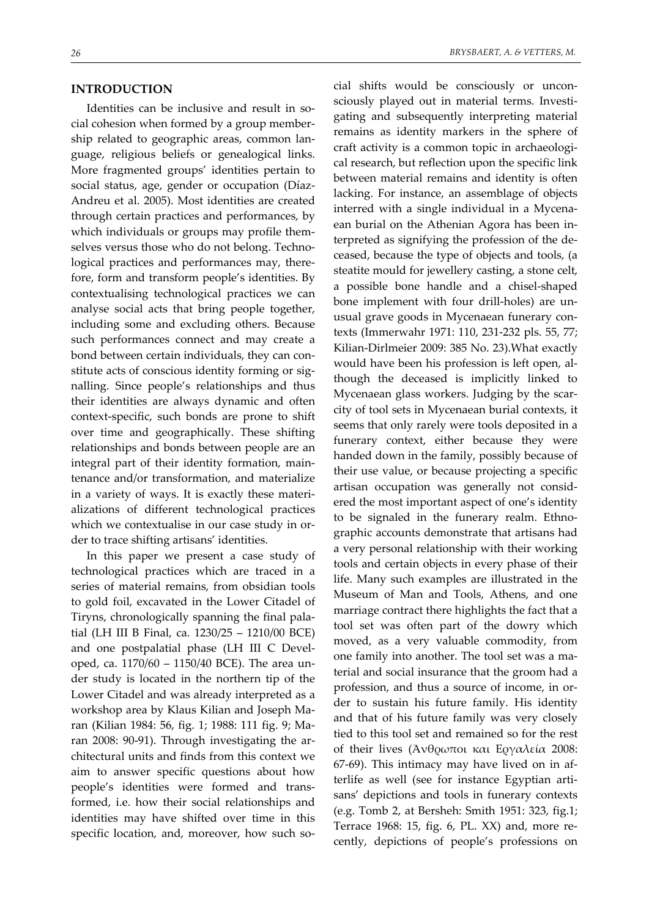#### **INTRODUCTION**

Identities can be inclusive and result in social cohesion when formed by a group member‐ ship related to geographic areas, common lan‐ guage, religious beliefs or genealogical links. More fragmented groups' identities pertain to social status, age, gender or occupation (Díaz‐ Andreu et al. 2005). Most identities are created through certain practices and performances, by which individuals or groups may profile themselves versus those who do not belong. Technological practices and performances may, there‐ fore, form and transform people's identities. By contextualising technological practices we can analyse social acts that bring people together, including some and excluding others. Because such performances connect and may create a bond between certain individuals, they can con‐ stitute acts of conscious identity forming or signalling. Since people's relationships and thus their identities are always dynamic and often context‐specific, such bonds are prone to shift over time and geographically. These shifting relationships and bonds between people are an integral part of their identity formation, main‐ tenance and/or transformation, and materialize in a variety of ways. It is exactly these materi‐ alizations of different technological practices which we contextualise in our case study in order to trace shifting artisans' identities.

In this paper we present a case study of technological practices which are traced in a series of material remains, from obsidian tools to gold foil, excavated in the Lower Citadel of Tiryns, chronologically spanning the final pala‐ tial (LH III B Final, ca. 1230/25 – 1210/00 BCE) and one postpalatial phase (LH III C Devel‐ oped, ca. 1170/60 – 1150/40 BCE). The area un‐ der study is located in the northern tip of the Lower Citadel and was already interpreted as a workshop area by Klaus Kilian and Joseph Ma‐ ran (Kilian 1984: 56, fig. 1; 1988: 111 fig. 9; Ma‐ ran 2008: 90-91). Through investigating the architectural units and finds from this context we aim to answer specific questions about how people's identities were formed and trans‐ formed, i.e. how their social relationships and identities may have shifted over time in this specific location, and, moreover, how such social shifts would be consciously or uncon‐ sciously played out in material terms. Investi‐ gating and subsequently interpreting material remains as identity markers in the sphere of craft activity is a common topic in archaeologi‐ cal research, but reflection upon the specific link between material remains and identity is often lacking. For instance, an assemblage of objects interred with a single individual in a Mycena‐ ean burial on the Athenian Agora has been in‐ terpreted as signifying the profession of the de‐ ceased, because the type of objects and tools, (a steatite mould for jewellery casting, a stone celt, a possible bone handle and a chisel‐shaped bone implement with four drill‐holes) are un‐ usual grave goods in Mycenaean funerary con‐ texts (Immerwahr 1971: 110, 231‐232 pls. 55, 77; Kilian‐Dirlmeier 2009: 385 No. 23).What exactly would have been his profession is left open, al‐ though the deceased is implicitly linked to Mycenaean glass workers. Judging by the scar‐ city of tool sets in Mycenaean burial contexts, it seems that only rarely were tools deposited in a funerary context, either because they were handed down in the family, possibly because of their use value, or because projecting a specific artisan occupation was generally not consid‐ ered the most important aspect of one's identity to be signaled in the funerary realm. Ethnographic accounts demonstrate that artisans had a very personal relationship with their working tools and certain objects in every phase of their life. Many such examples are illustrated in the Museum of Man and Tools, Athens, and one marriage contract there highlights the fact that a tool set was often part of the dowry which moved, as a very valuable commodity, from one family into another. The tool set was a ma‐ terial and social insurance that the groom had a profession, and thus a source of income, in or‐ der to sustain his future family. His identity and that of his future family was very closely tied to this tool set and remained so for the rest of their lives (Άνθρωποι και Εργαλεία 2008: 67‐69). This intimacy may have lived on in af‐ terlife as well (see for instance Egyptian arti‐ sans' depictions and tools in funerary contexts (e.g. Tomb 2, at Bersheh: Smith 1951: 323, fig.1; Terrace 1968: 15, fig. 6, PL. XX) and, more re‐ cently, depictions of people's professions on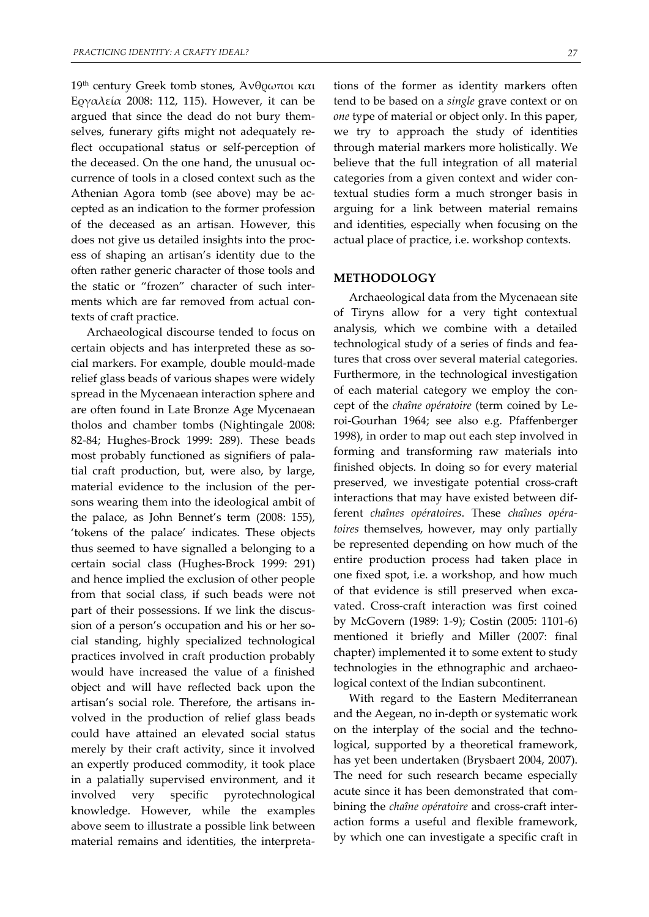19th century Greek tomb stones, Άνθρωποι και Εργαλεία 2008: 112, 115). However, it can be argued that since the dead do not bury them‐ selves, funerary gifts might not adequately reflect occupational status or self-perception of the deceased. On the one hand, the unusual occurrence of tools in a closed context such as the Athenian Agora tomb (see above) may be ac‐ cepted as an indication to the former profession of the deceased as an artisan. However, this does not give us detailed insights into the proc‐ ess of shaping an artisan's identity due to the often rather generic character of those tools and the static or "frozen" character of such inter‐ ments which are far removed from actual contexts of craft practice.

Archaeological discourse tended to focus on certain objects and has interpreted these as social markers. For example, double mould‐made relief glass beads of various shapes were widely spread in the Mycenaean interaction sphere and are often found in Late Bronze Age Mycenaean tholos and chamber tombs (Nightingale 2008: 82‐84; Hughes‐Brock 1999: 289). These beads most probably functioned as signifiers of pala‐ tial craft production, but, were also, by large, material evidence to the inclusion of the per‐ sons wearing them into the ideological ambit of the palace, as John Bennet's term (2008: 155), 'tokens of the palace' indicates. These objects thus seemed to have signalled a belonging to a certain social class (Hughes‐Brock 1999: 291) and hence implied the exclusion of other people from that social class, if such beads were not part of their possessions. If we link the discus‐ sion of a person's occupation and his or her social standing, highly specialized technological practices involved in craft production probably would have increased the value of a finished object and will have reflected back upon the artisan's social role. Therefore, the artisans in‐ volved in the production of relief glass beads could have attained an elevated social status merely by their craft activity, since it involved an expertly produced commodity, it took place in a palatially supervised environment, and it involved very specific pyrotechnological knowledge. However, while the examples above seem to illustrate a possible link between material remains and identities, the interpreta‐

tions of the former as identity markers often tend to be based on a *single* grave context or on *one* type of material or object only. In this paper, we try to approach the study of identities through material markers more holistically. We believe that the full integration of all material categories from a given context and wider contextual studies form a much stronger basis in arguing for a link between material remains and identities, especially when focusing on the actual place of practice, i.e. workshop contexts.

#### **METHODOLOGY**

Archaeological data from the Mycenaean site of Tiryns allow for a very tight contextual analysis, which we combine with a detailed technological study of a series of finds and fea‐ tures that cross over several material categories. Furthermore, in the technological investigation of each material category we employ the con‐ cept of the *chaîne opératoire* (term coined by Le‐ roi‐Gourhan 1964; see also e.g. Pfaffenberger 1998), in order to map out each step involved in forming and transforming raw materials into finished objects. In doing so for every material preserved, we investigate potential cross‐craft interactions that may have existed between dif‐ ferent *chaînes opératoires*. These *chaînes opéra‐ toires* themselves, however, may only partially be represented depending on how much of the entire production process had taken place in one fixed spot, i.e. a workshop, and how much of that evidence is still preserved when excavated. Cross‐craft interaction was first coined by McGovern (1989: 1‐9); Costin (2005: 1101‐6) mentioned it briefly and Miller (2007: final chapter) implemented it to some extent to study technologies in the ethnographic and archaeo‐ logical context of the Indian subcontinent.

With regard to the Eastern Mediterranean and the Aegean, no in‐depth or systematic work on the interplay of the social and the techno‐ logical, supported by a theoretical framework, has yet been undertaken (Brysbaert 2004, 2007). The need for such research became especially acute since it has been demonstrated that combining the *chaîne opératoire* and cross‐craft inter‐ action forms a useful and flexible framework, by which one can investigate a specific craft in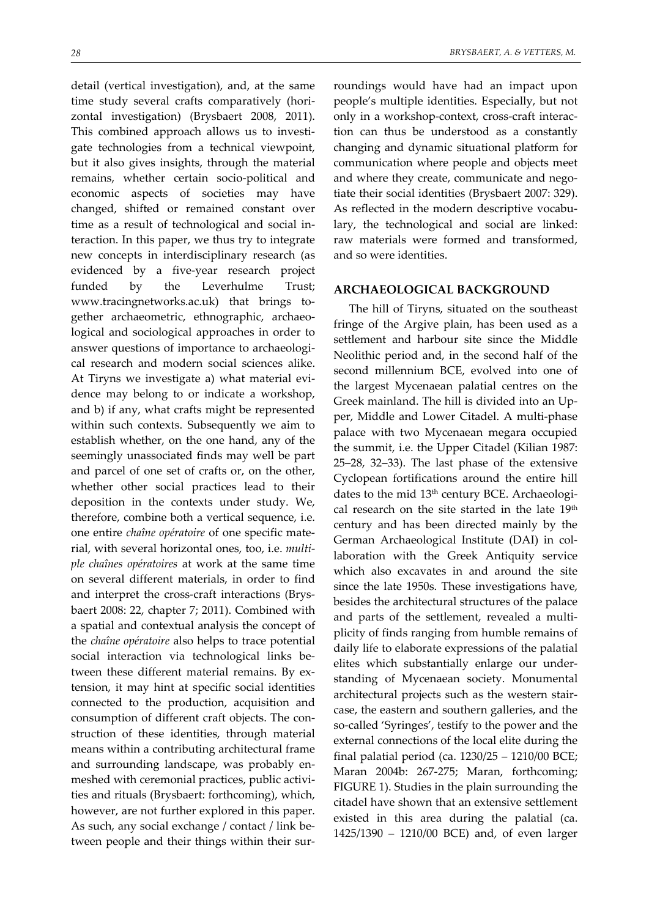detail (vertical investigation), and, at the same time study several crafts comparatively (horizontal investigation) (Brysbaert 2008, 2011). This combined approach allows us to investi‐ gate technologies from a technical viewpoint, but it also gives insights, through the material remains, whether certain socio‐political and economic aspects of societies may have changed, shifted or remained constant over time as a result of technological and social in‐ teraction. In this paper, we thus try to integrate new concepts in interdisciplinary research (as evidenced by a five‐year research project funded by the Leverhulme Trust; www.tracingnetworks.ac.uk) that brings to‐ gether archaeometric, ethnographic, archaeological and sociological approaches in order to answer questions of importance to archaeological research and modern social sciences alike. At Tiryns we investigate a) what material evi‐ dence may belong to or indicate a workshop, and b) if any, what crafts might be represented within such contexts. Subsequently we aim to establish whether, on the one hand, any of the seemingly unassociated finds may well be part and parcel of one set of crafts or, on the other, whether other social practices lead to their deposition in the contexts under study. We, therefore, combine both a vertical sequence, i.e. one entire *chaîne opératoire* of one specific mate‐ rial, with several horizontal ones, too, i.e. *multi‐ ple chaînes opératoires* at work at the same time on several different materials, in order to find and interpret the cross‐craft interactions (Brys‐ baert 2008: 22, chapter 7; 2011). Combined with a spatial and contextual analysis the concept of the *chaîne opératoire* also helps to trace potential social interaction via technological links between these different material remains. By extension, it may hint at specific social identities connected to the production, acquisition and consumption of different craft objects. The con‐ struction of these identities, through material means within a contributing architectural frame and surrounding landscape, was probably en‐ meshed with ceremonial practices, public activi‐ ties and rituals (Brysbaert: forthcoming), which, however, are not further explored in this paper. As such, any social exchange / contact / link be‐ tween people and their things within their surroundings would have had an impact upon people's multiple identities. Especially, but not only in a workshop‐context, cross‐craft interac‐ tion can thus be understood as a constantly changing and dynamic situational platform for communication where people and objects meet and where they create, communicate and negotiate their social identities (Brysbaert 2007: 329). As reflected in the modern descriptive vocabulary, the technological and social are linked: raw materials were formed and transformed, and so were identities.

#### **ARCHAEOLOGICAL BACKGROUND**

The hill of Tiryns, situated on the southeast fringe of the Argive plain, has been used as a settlement and harbour site since the Middle Neolithic period and, in the second half of the second millennium BCE, evolved into one of the largest Mycenaean palatial centres on the Greek mainland. The hill is divided into an Up‐ per, Middle and Lower Citadel. A multi‐phase palace with two Mycenaean megara occupied the summit, i.e. the Upper Citadel (Kilian 1987: 25–28, 32–33). The last phase of the extensive Cyclopean fortifications around the entire hill dates to the mid 13<sup>th</sup> century BCE. Archaeological research on the site started in the late 19<sup>th</sup> century and has been directed mainly by the German Archaeological Institute (DAI) in col‐ laboration with the Greek Antiquity service which also excavates in and around the site since the late 1950s. These investigations have, besides the architectural structures of the palace and parts of the settlement, revealed a multiplicity of finds ranging from humble remains of daily life to elaborate expressions of the palatial elites which substantially enlarge our under‐ standing of Mycenaean society. Monumental architectural projects such as the western stair‐ case, the eastern and southern galleries, and the so-called 'Syringes', testify to the power and the external connections of the local elite during the final palatial period (ca. 1230/25 – 1210/00 BCE; Maran 2004b: 267-275; Maran, forthcoming; FIGURE 1). Studies in the plain surrounding the citadel have shown that an extensive settlement existed in this area during the palatial (ca. 1425/1390 – 1210/00 BCE) and, of even larger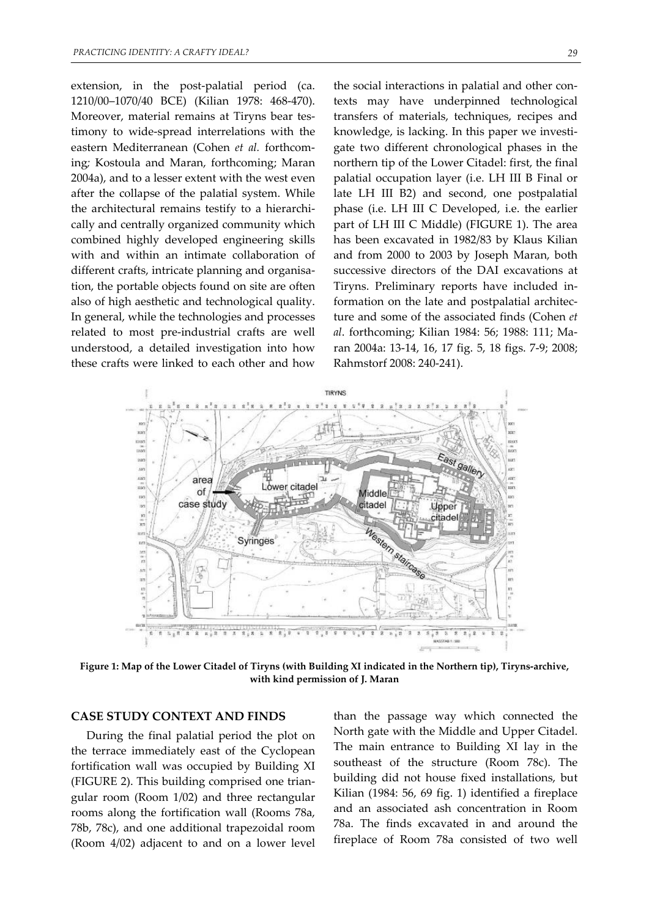extension, in the post-palatial period (ca. 1210/00–1070/40 BCE) (Kilian 1978: 468‐470). Moreover, material remains at Tiryns bear testimony to wide‐spread interrelations with the eastern Mediterranean (Cohen *et al.* forthcom‐ ing*;* Kostoula and Maran, forthcoming; Maran 2004a), and to a lesser extent with the west even after the collapse of the palatial system. While the architectural remains testify to a hierarchi‐ cally and centrally organized community which combined highly developed engineering skills with and within an intimate collaboration of different crafts, intricate planning and organisa‐ tion, the portable objects found on site are often also of high aesthetic and technological quality. In general, while the technologies and processes related to most pre‐industrial crafts are well understood, a detailed investigation into how these crafts were linked to each other and how

the social interactions in palatial and other contexts may have underpinned technological transfers of materials, techniques, recipes and knowledge, is lacking. In this paper we investi‐ gate two different chronological phases in the northern tip of the Lower Citadel: first, the final palatial occupation layer (i.e. LH III B Final or late LH III B2) and second, one postpalatial phase (i.e. LH III C Developed, i.e. the earlier part of LH III C Middle) (FIGURE 1). The area has been excavated in 1982/83 by Klaus Kilian and from 2000 to 2003 by Joseph Maran, both successive directors of the DAI excavations at Tiryns. Preliminary reports have included in‐ formation on the late and postpalatial architec‐ ture and some of the associated finds (Cohen *et al*. forthcoming; Kilian 1984: 56; 1988: 111; Ma‐ ran 2004a: 13‐14, 16, 17 fig. 5, 18 figs. 7‐9; 2008; Rahmstorf 2008: 240‐241).



Figure 1: Map of the Lower Citadel of Tiryns (with Building XI indicated in the Northern tip), Tiryns-archive, **with kind permission of J. Maran**

#### **CASE STUDY CONTEXT AND FINDS**

During the final palatial period the plot on the terrace immediately east of the Cyclopean fortification wall was occupied by Building XI (FIGURE 2). This building comprised one trian‐ gular room (Room 1/02) and three rectangular rooms along the fortification wall (Rooms 78a, 78b, 78c), and one additional trapezoidal room (Room 4/02) adjacent to and on a lower level

than the passage way which connected the North gate with the Middle and Upper Citadel. The main entrance to Building XI lay in the southeast of the structure (Room 78c). The building did not house fixed installations, but Kilian (1984: 56, 69 fig. 1) identified a fireplace and an associated ash concentration in Room 78a. The finds excavated in and around the fireplace of Room 78a consisted of two well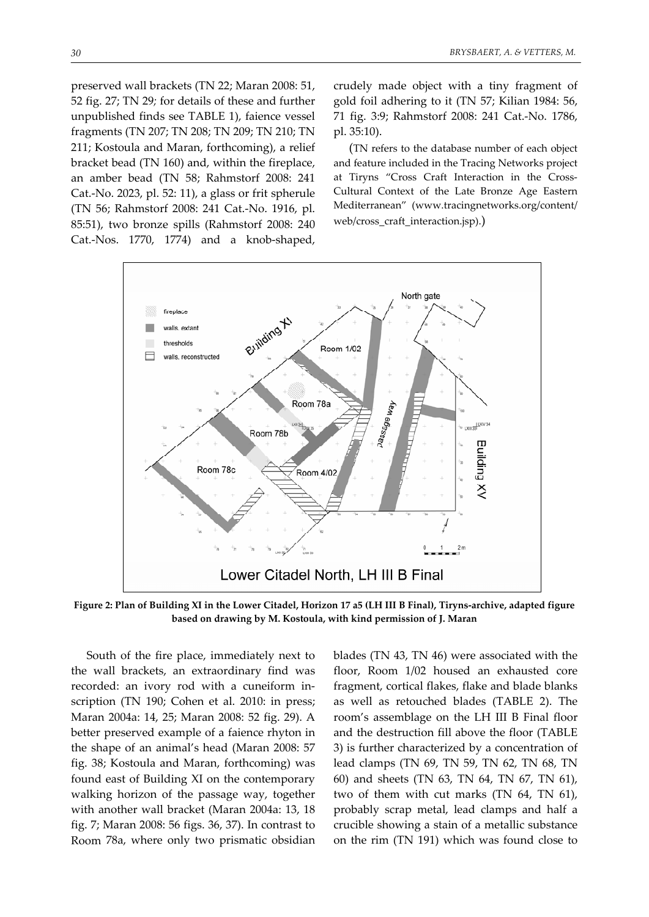preserved wall brackets (TN 22; Maran 2008: 51, 52 fig. 27; TN 29*;* for details of these and further unpublished finds see TABLE 1), faience vessel fragments (TN 207; TN 208; TN 209; TN 210; TN 211; Kostoula and Maran, forthcoming), a relief bracket bead (TN 160) and, within the fireplace, an amber bead (TN 58; Rahmstorf 2008: 241 Cat.‐No. 2023, pl. 52: 11), a glass or frit spherule (TN 56; Rahmstorf 2008: 241 Cat.‐No. 1916, pl. 85:51), two bronze spills (Rahmstorf 2008: 240 Cat.‐Nos. 1770, 1774) and a knob‐shaped,

crudely made object with a tiny fragment of gold foil adhering to it (TN 57; Kilian 1984: 56, 71 fig. 3:9; Rahmstorf 2008: 241 Cat.‐No. 1786, pl. 35:10).

(TN refers to the database number of each object and feature included in the Tracing Networks project at Tiryns "Cross Craft Interaction in the Cross‐ Cultural Context of the Late Bronze Age Eastern Mediterranean" (www.tracingnetworks.org/content/ web/cross\_craft\_interaction.jsp).)



Figure 2: Plan of Building XI in the Lower Citadel, Horizon 17 a5 (LH III B Final), Tiryns-archive, adapted figure **based on drawing by M. Kostoula, with kind permission of J. Maran**

South of the fire place, immediately next to the wall brackets, an extraordinary find was recorded: an ivory rod with a cuneiform in‐ scription (TN 190; Cohen et al. 2010: in press; Maran 2004a: 14, 25; Maran 2008: 52 fig. 29). A better preserved example of a faience rhyton in the shape of an animal's head (Maran 2008: 57 fig. 38; Kostoula and Maran, forthcoming) was found east of Building XI on the contemporary walking horizon of the passage way, together with another wall bracket (Maran 2004a: 13, 18 fig. 7; Maran 2008: 56 figs. 36, 37). In contrast to Room 78a, where only two prismatic obsidian blades (TN 43, TN 46) were associated with the floor, Room 1/02 housed an exhausted core fragment, cortical flakes, flake and blade blanks as well as retouched blades (TABLE 2). The room's assemblage on the LH III B Final floor and the destruction fill above the floor (TABLE 3) is further characterized by a concentration of lead clamps (TN 69, TN 59, TN 62, TN 68, TN 60) and sheets (TN 63, TN 64, TN 67, TN 61), two of them with cut marks (TN 64, TN 61), probably scrap metal, lead clamps and half a crucible showing a stain of a metallic substance on the rim (TN 191) which was found close to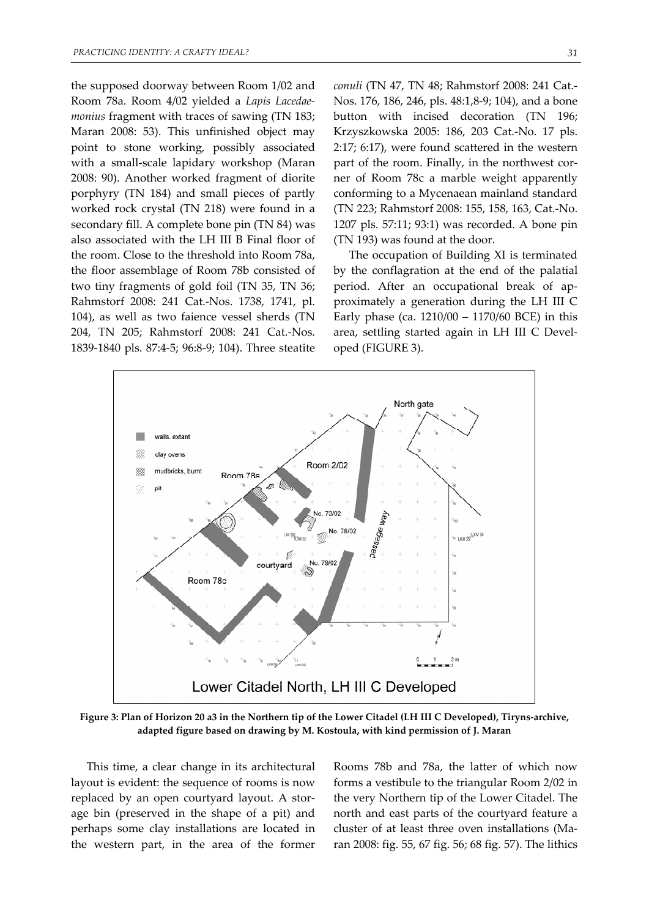the supposed doorway between Room 1/02 and Room 78a. Room 4/02 yielded a *Lapis Lacedae‐ monius* fragment with traces of sawing (TN 183; Maran 2008: 53). This unfinished object may point to stone working, possibly associated with a small‐scale lapidary workshop (Maran 2008: 90). Another worked fragment of diorite porphyry (TN 184) and small pieces of partly worked rock crystal (TN 218) were found in a secondary fill. A complete bone pin (TN 84) was also associated with the LH III B Final floor of the room. Close to the threshold into Room 78a, the floor assemblage of Room 78b consisted of two tiny fragments of gold foil (TN 35, TN 36; Rahmstorf 2008: 241 Cat.‐Nos. 1738, 1741, pl. 104), as well as two faience vessel sherds (TN 204, TN 205; Rahmstorf 2008: 241 Cat.‐Nos. 1839‐1840 pls. 87:4‐5; 96:8‐9; 104). Three steatite *conuli* (TN 47, TN 48; Rahmstorf 2008: 241 Cat.‐ Nos. 176, 186, 246, pls. 48:1,8‐9; 104), and a bone button with incised decoration (TN 196; Krzyszkowska 2005: 186, 203 Cat.‐No. 17 pls. 2:17; 6:17), were found scattered in the western part of the room. Finally, in the northwest corner of Room 78c a marble weight apparently conforming to a Mycenaean mainland standard (TN 223; Rahmstorf 2008: 155, 158, 163, Cat.‐No. 1207 pls. 57:11; 93:1) was recorded. A bone pin (TN 193) was found at the door.

The occupation of Building XI is terminated by the conflagration at the end of the palatial period. After an occupational break of ap‐ proximately a generation during the LH III C Early phase (ca. 1210/00 – 1170/60 BCE) in this area, settling started again in LH III C Devel‐ oped (FIGURE 3).



Figure 3: Plan of Horizon 20 a3 in the Northern tip of the Lower Citadel (LH III C Developed), Tiryns-archive, **adapted figure based on drawing by M. Kostoula, with kind permission of J. Maran**

This time, a clear change in its architectural layout is evident: the sequence of rooms is now replaced by an open courtyard layout. A stor‐ age bin (preserved in the shape of a pit) and perhaps some clay installations are located in the western part, in the area of the former Rooms 78b and 78a, the latter of which now forms a vestibule to the triangular Room 2/02 in the very Northern tip of the Lower Citadel. The north and east parts of the courtyard feature a cluster of at least three oven installations (Ma‐ ran 2008: fig. 55, 67 fig. 56; 68 fig. 57). The lithics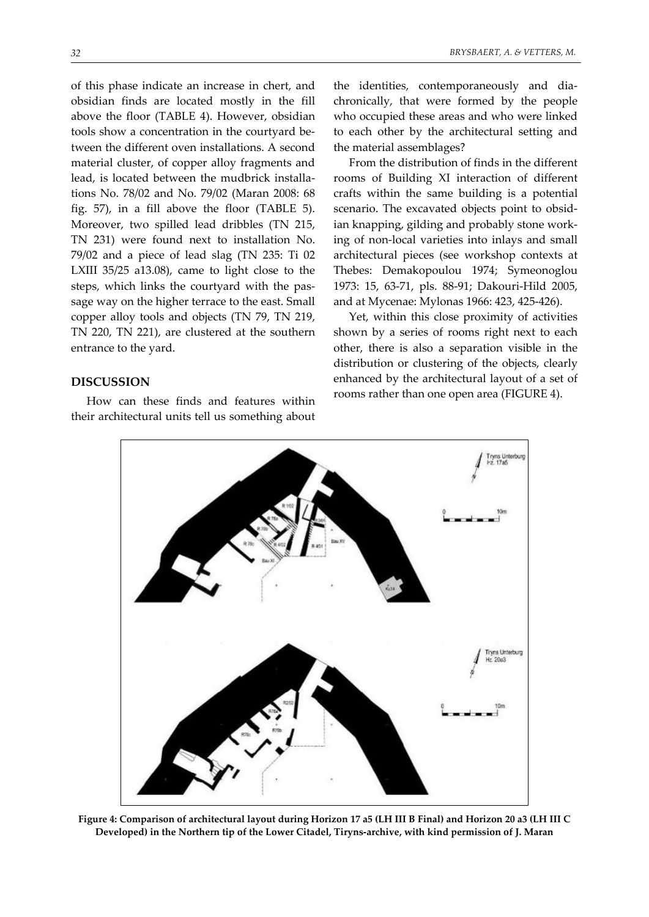of this phase indicate an increase in chert, and obsidian finds are located mostly in the fill above the floor (TABLE 4). However, obsidian tools show a concentration in the courtyard be‐ tween the different oven installations. A second material cluster, of copper alloy fragments and lead, is located between the mudbrick installa‐ tions No. 78/02 and No. 79/02 (Maran 2008: 68 fig. 57), in a fill above the floor (TABLE 5). Moreover, two spilled lead dribbles (TN 215, TN 231) were found next to installation No. 79/02 and a piece of lead slag (TN 235: Ti 02 LXIII 35/25 a13.08), came to light close to the steps, which links the courtyard with the pas‐ sage way on the higher terrace to the east. Small copper alloy tools and objects (TN 79, TN 219, TN 220, TN 221), are clustered at the southern entrance to the yard.

#### **DISCUSSION**

How can these finds and features within their architectural units tell us something about

the identities, contemporaneously and dia‐ chronically, that were formed by the people who occupied these areas and who were linked to each other by the architectural setting and the material assemblages?

From the distribution of finds in the different rooms of Building XI interaction of different crafts within the same building is a potential scenario. The excavated objects point to obsid‐ ian knapping, gilding and probably stone work‐ ing of non‐local varieties into inlays and small architectural pieces (see workshop contexts at Thebes: Demakopoulou 1974; Symeonoglou 1973: 15, 63‐71, pls. 88‐91; Dakouri‐Hild 2005, and at Mycenae: Mylonas 1966: 423, 425‐426).

Yet, within this close proximity of activities shown by a series of rooms right next to each other, there is also a separation visible in the distribution or clustering of the objects, clearly enhanced by the architectural layout of a set of rooms rather than one open area (FIGURE 4).



Figure 4: Comparison of architectural layout during Horizon 17 a5 (LH III B Final) and Horizon 20 a3 (LH III C Developed) in the Northern tip of the Lower Citadel, Tiryns-archive, with kind permission of J. Maran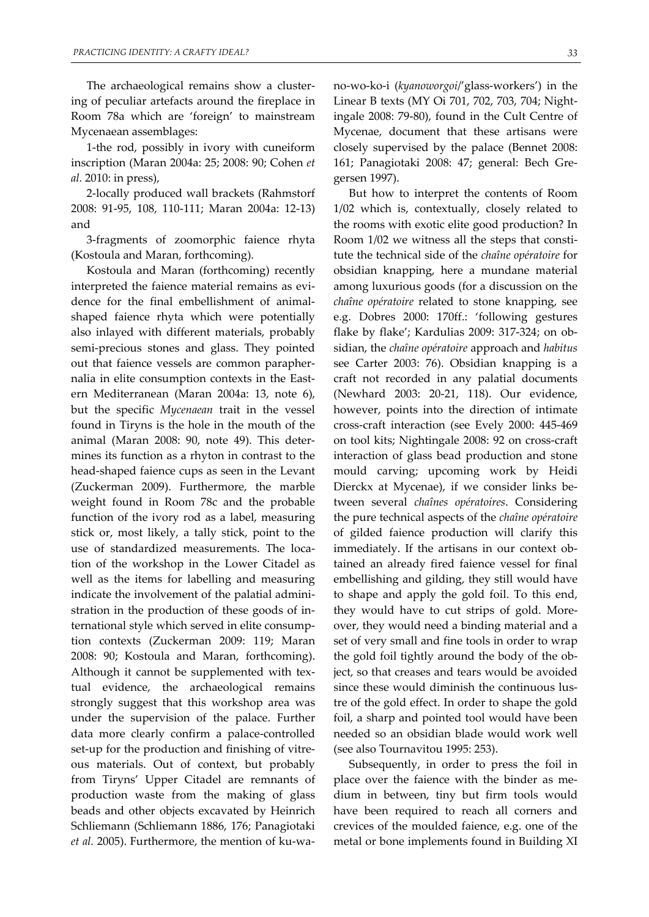The archaeological remains show a clustering of peculiar artefacts around the fireplace in Room 78a which are 'foreign' to mainstream Mycenaean assemblages:

1‐the rod, possibly in ivory with cuneiform inscription (Maran 2004a: 25; 2008: 90; Cohen *et al.* 2010: in press),

2‐locally produced wall brackets (Rahmstorf 2008: 91‐95, 108, 110‐111; Maran 2004a: 12‐13) and

3‐fragments of zoomorphic faience rhyta (Kostoula and Maran, forthcoming).

Kostoula and Maran (forthcoming) recently interpreted the faience material remains as evi‐ dence for the final embellishment of animal‐ shaped faience rhyta which were potentially also inlayed with different materials, probably semi-precious stones and glass. They pointed out that faience vessels are common parapher‐ nalia in elite consumption contexts in the Eastern Mediterranean (Maran 2004a: 13, note 6), but the specific *Mycenaean* trait in the vessel found in Tiryns is the hole in the mouth of the animal (Maran 2008: 90, note 49). This deter‐ mines its function as a rhyton in contrast to the head‐shaped faience cups as seen in the Levant (Zuckerman 2009). Furthermore, the marble weight found in Room 78c and the probable function of the ivory rod as a label, measuring stick or, most likely, a tally stick, point to the use of standardized measurements. The location of the workshop in the Lower Citadel as well as the items for labelling and measuring indicate the involvement of the palatial admini‐ stration in the production of these goods of in‐ ternational style which served in elite consump‐ tion contexts (Zuckerman 2009: 119; Maran 2008: 90; Kostoula and Maran, forthcoming). Although it cannot be supplemented with textual evidence, the archaeological remains strongly suggest that this workshop area was under the supervision of the palace. Further data more clearly confirm a palace‐controlled set-up for the production and finishing of vitreous materials. Out of context, but probably from Tiryns' Upper Citadel are remnants of production waste from the making of glass beads and other objects excavated by Heinrich Schliemann (Schliemann 1886, 176; Panagiotaki *et al.* 2005). Furthermore, the mention of ku‐wa‐

no‐wo‐ko‐i (*kyanoworgoi*/'glass‐workers') in the Linear B texts (MY Oi 701, 702, 703, 704; Night‐ ingale 2008: 79‐80), found in the Cult Centre of Mycenae, document that these artisans were closely supervised by the palace (Bennet 2008: 161; Panagiotaki 2008: 47; general: Bech Gre‐ gersen 1997).

But how to interpret the contents of Room 1/02 which is, contextually, closely related to the rooms with exotic elite good production? In Room 1/02 we witness all the steps that consti‐ tute the technical side of the *chaîne opératoire* for obsidian knapping, here a mundane material among luxurious goods (for a discussion on the *chaîne opératoire* related to stone knapping, see e.g. Dobres 2000: 170ff.: 'following gestures flake by flake'; Kardulias 2009: 317‐324; on ob‐ sidian, the *chaîne opératoire* approach and *habitus* see Carter 2003: 76). Obsidian knapping is a craft not recorded in any palatial documents (Newhard 2003: 20‐21, 118). Our evidence, however, points into the direction of intimate cross‐craft interaction (see Evely 2000: 445‐469 on tool kits; Nightingale 2008: 92 on cross‐craft interaction of glass bead production and stone mould carving; upcoming work by Heidi Dierckx at Mycenae), if we consider links be‐ tween several *chaînes opératoires*. Considering the pure technical aspects of the *chaîne opératoire* of gilded faience production will clarify this immediately. If the artisans in our context ob‐ tained an already fired faience vessel for final embellishing and gilding, they still would have to shape and apply the gold foil. To this end, they would have to cut strips of gold. More‐ over, they would need a binding material and a set of very small and fine tools in order to wrap the gold foil tightly around the body of the ob‐ ject, so that creases and tears would be avoided since these would diminish the continuous lus‐ tre of the gold effect. In order to shape the gold foil, a sharp and pointed tool would have been needed so an obsidian blade would work well (see also Tournavitou 1995: 253).

Subsequently, in order to press the foil in place over the faience with the binder as me‐ dium in between, tiny but firm tools would have been required to reach all corners and crevices of the moulded faience, e.g. one of the metal or bone implements found in Building XI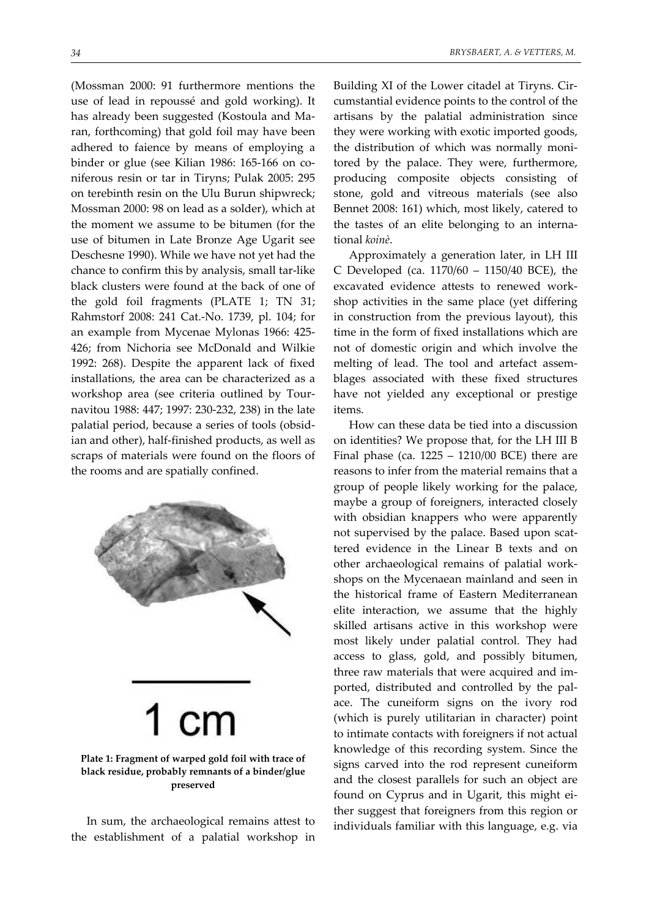(Mossman 2000: 91 furthermore mentions the use of lead in repoussé and gold working). It has already been suggested (Kostoula and Ma‐ ran, forthcoming) that gold foil may have been adhered to faience by means of employing a binder or glue (see Kilian 1986: 165-166 on coniferous resin or tar in Tiryns; Pulak 2005: 295 on terebinth resin on the Ulu Burun shipwreck; Mossman 2000: 98 on lead as a solder), which at the moment we assume to be bitumen (for the use of bitumen in Late Bronze Age Ugarit see Deschesne 1990). While we have not yet had the chance to confirm this by analysis, small tar‐like black clusters were found at the back of one of the gold foil fragments (PLATE 1; TN 31; Rahmstorf 2008: 241 Cat.‐No. 1739, pl. 104; for an example from Mycenae Mylonas 1966: 425‐ 426; from Nichoria see McDonald and Wilkie 1992: 268). Despite the apparent lack of fixed installations, the area can be characterized as a workshop area (see criteria outlined by Tour‐ navitou 1988: 447; 1997: 230‐232, 238) in the late palatial period, because a series of tools (obsid‐ ian and other), half-finished products, as well as



scraps of materials were found on the floors of

the rooms and are spatially confined.

# **Plate 1: Fragment of warped gold foil with trace of black residue, probably remnants of a binder/glue preserved**

In sum, the archaeological remains attest to the establishment of a palatial workshop in Building XI of the Lower citadel at Tiryns. Cir‐ cumstantial evidence points to the control of the artisans by the palatial administration since they were working with exotic imported goods, the distribution of which was normally moni‐ tored by the palace. They were, furthermore, producing composite objects consisting of stone, gold and vitreous materials (see also Bennet 2008: 161) which, most likely, catered to the tastes of an elite belonging to an interna‐ tional *koinè*.

Approximately a generation later, in LH III C Developed (ca. 1170/60 – 1150/40 BCE), the excavated evidence attests to renewed work‐ shop activities in the same place (yet differing in construction from the previous layout), this time in the form of fixed installations which are not of domestic origin and which involve the melting of lead. The tool and artefact assem‐ blages associated with these fixed structures have not yielded any exceptional or prestige items.

How can these data be tied into a discussion on identities? We propose that, for the LH III B Final phase (ca. 1225 – 1210/00 BCE) there are reasons to infer from the material remains that a group of people likely working for the palace, maybe a group of foreigners, interacted closely with obsidian knappers who were apparently not supervised by the palace. Based upon scattered evidence in the Linear B texts and on other archaeological remains of palatial work‐ shops on the Mycenaean mainland and seen in the historical frame of Eastern Mediterranean elite interaction, we assume that the highly skilled artisans active in this workshop were most likely under palatial control. They had access to glass, gold, and possibly bitumen, three raw materials that were acquired and im‐ ported, distributed and controlled by the pal‐ ace. The cuneiform signs on the ivory rod (which is purely utilitarian in character) point to intimate contacts with foreigners if not actual knowledge of this recording system. Since the signs carved into the rod represent cuneiform and the closest parallels for such an object are found on Cyprus and in Ugarit, this might either suggest that foreigners from this region or individuals familiar with this language, e.g. via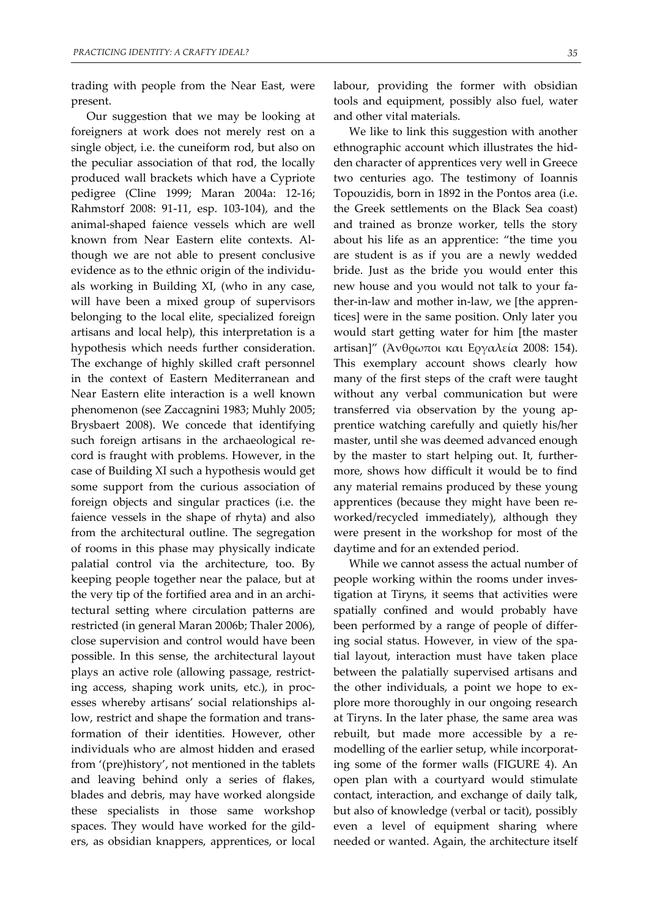trading with people from the Near East, were present.

Our suggestion that we may be looking at foreigners at work does not merely rest on a single object, i.e. the cuneiform rod, but also on the peculiar association of that rod, the locally produced wall brackets which have a Cypriote pedigree (Cline 1999; Maran 2004a: 12‐16; Rahmstorf 2008: 91‐11, esp. 103‐104), and the animal‐shaped faience vessels which are well known from Near Eastern elite contexts. Al‐ though we are not able to present conclusive evidence as to the ethnic origin of the individu‐ als working in Building XI, (who in any case, will have been a mixed group of supervisors belonging to the local elite, specialized foreign artisans and local help), this interpretation is a hypothesis which needs further consideration. The exchange of highly skilled craft personnel in the context of Eastern Mediterranean and Near Eastern elite interaction is a well known phenomenon (see Zaccagnini 1983; Muhly 2005; Brysbaert 2008). We concede that identifying such foreign artisans in the archaeological record is fraught with problems. However, in the case of Building XI such a hypothesis would get some support from the curious association of foreign objects and singular practices (i.e. the faience vessels in the shape of rhyta) and also from the architectural outline. The segregation of rooms in this phase may physically indicate palatial control via the architecture, too. By keeping people together near the palace, but at the very tip of the fortified area and in an archi‐ tectural setting where circulation patterns are restricted (in general Maran 2006b; Thaler 2006), close supervision and control would have been possible. In this sense, the architectural layout plays an active role (allowing passage, restrict‐ ing access, shaping work units, etc.), in proc‐ esses whereby artisans' social relationships al‐ low, restrict and shape the formation and trans‐ formation of their identities. However, other individuals who are almost hidden and erased from '(pre)history', not mentioned in the tablets and leaving behind only a series of flakes, blades and debris, may have worked alongside these specialists in those same workshop spaces. They would have worked for the gild‐ ers, as obsidian knappers, apprentices, or local

labour, providing the former with obsidian tools and equipment, possibly also fuel, water and other vital materials.

We like to link this suggestion with another ethnographic account which illustrates the hid‐ den character of apprentices very well in Greece two centuries ago. The testimony of Ioannis Topouzidis, born in 1892 in the Pontos area (i.e. the Greek settlements on the Black Sea coast) and trained as bronze worker, tells the story about his life as an apprentice: "the time you are student is as if you are a newly wedded bride. Just as the bride you would enter this new house and you would not talk to your fa‐ ther-in-law and mother in-law, we [the apprentices] were in the same position. Only later you would start getting water for him [the master artisan]" (Άνθρωποι και Εργαλεία 2008: 154). This exemplary account shows clearly how many of the first steps of the craft were taught without any verbal communication but were transferred via observation by the young ap‐ prentice watching carefully and quietly his/her master, until she was deemed advanced enough by the master to start helping out. It, further‐ more, shows how difficult it would be to find any material remains produced by these young apprentices (because they might have been re‐ worked/recycled immediately), although they were present in the workshop for most of the daytime and for an extended period.

While we cannot assess the actual number of people working within the rooms under inves‐ tigation at Tiryns, it seems that activities were spatially confined and would probably have been performed by a range of people of differ‐ ing social status. However, in view of the spa‐ tial layout, interaction must have taken place between the palatially supervised artisans and the other individuals, a point we hope to explore more thoroughly in our ongoing research at Tiryns. In the later phase, the same area was rebuilt, but made more accessible by a remodelling of the earlier setup, while incorporating some of the former walls (FIGURE 4). An open plan with a courtyard would stimulate contact, interaction, and exchange of daily talk, but also of knowledge (verbal or tacit), possibly even a level of equipment sharing where needed or wanted. Again, the architecture itself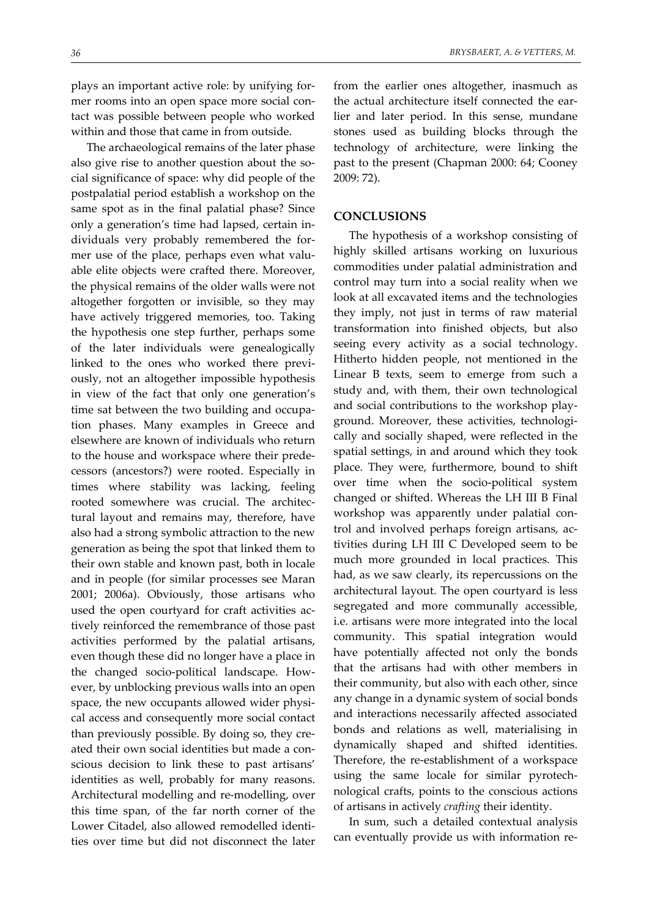plays an important active role: by unifying for‐ mer rooms into an open space more social con‐ tact was possible between people who worked within and those that came in from outside.

The archaeological remains of the later phase also give rise to another question about the social significance of space: why did people of the postpalatial period establish a workshop on the same spot as in the final palatial phase? Since only a generation's time had lapsed, certain in‐ dividuals very probably remembered the for‐ mer use of the place, perhaps even what valuable elite objects were crafted there. Moreover, the physical remains of the older walls were not altogether forgotten or invisible, so they may have actively triggered memories, too. Taking the hypothesis one step further, perhaps some of the later individuals were genealogically linked to the ones who worked there previ‐ ously, not an altogether impossible hypothesis in view of the fact that only one generation's time sat between the two building and occupa‐ tion phases. Many examples in Greece and elsewhere are known of individuals who return to the house and workspace where their prede‐ cessors (ancestors?) were rooted. Especially in times where stability was lacking, feeling rooted somewhere was crucial. The architectural layout and remains may, therefore, have also had a strong symbolic attraction to the new generation as being the spot that linked them to their own stable and known past, both in locale and in people (for similar processes see Maran 2001; 2006a). Obviously, those artisans who used the open courtyard for craft activities actively reinforced the remembrance of those past activities performed by the palatial artisans, even though these did no longer have a place in the changed socio-political landscape. However, by unblocking previous walls into an open space, the new occupants allowed wider physical access and consequently more social contact than previously possible. By doing so, they cre‐ ated their own social identities but made a con‐ scious decision to link these to past artisans' identities as well, probably for many reasons. Architectural modelling and re‐modelling, over this time span, of the far north corner of the Lower Citadel, also allowed remodelled identi‐ ties over time but did not disconnect the later

from the earlier ones altogether, inasmuch as the actual architecture itself connected the earlier and later period. In this sense, mundane stones used as building blocks through the technology of architecture, were linking the past to the present (Chapman 2000: 64; Cooney 2009: 72).

#### **CONCLUSIONS**

The hypothesis of a workshop consisting of highly skilled artisans working on luxurious commodities under palatial administration and control may turn into a social reality when we look at all excavated items and the technologies they imply, not just in terms of raw material transformation into finished objects, but also seeing every activity as a social technology. Hitherto hidden people, not mentioned in the Linear B texts, seem to emerge from such a study and, with them, their own technological and social contributions to the workshop play‐ ground. Moreover, these activities, technologi‐ cally and socially shaped, were reflected in the spatial settings, in and around which they took place. They were, furthermore, bound to shift over time when the socio‐political system changed or shifted. Whereas the LH III B Final workshop was apparently under palatial control and involved perhaps foreign artisans, ac‐ tivities during LH III C Developed seem to be much more grounded in local practices. This had, as we saw clearly, its repercussions on the architectural layout. The open courtyard is less segregated and more communally accessible, i.e. artisans were more integrated into the local community. This spatial integration would have potentially affected not only the bonds that the artisans had with other members in their community, but also with each other, since any change in a dynamic system of social bonds and interactions necessarily affected associated bonds and relations as well, materialising in dynamically shaped and shifted identities. Therefore, the re‐establishment of a workspace using the same locale for similar pyrotech‐ nological crafts, points to the conscious actions of artisans in actively *crafting* their identity.

In sum, such a detailed contextual analysis can eventually provide us with information re‐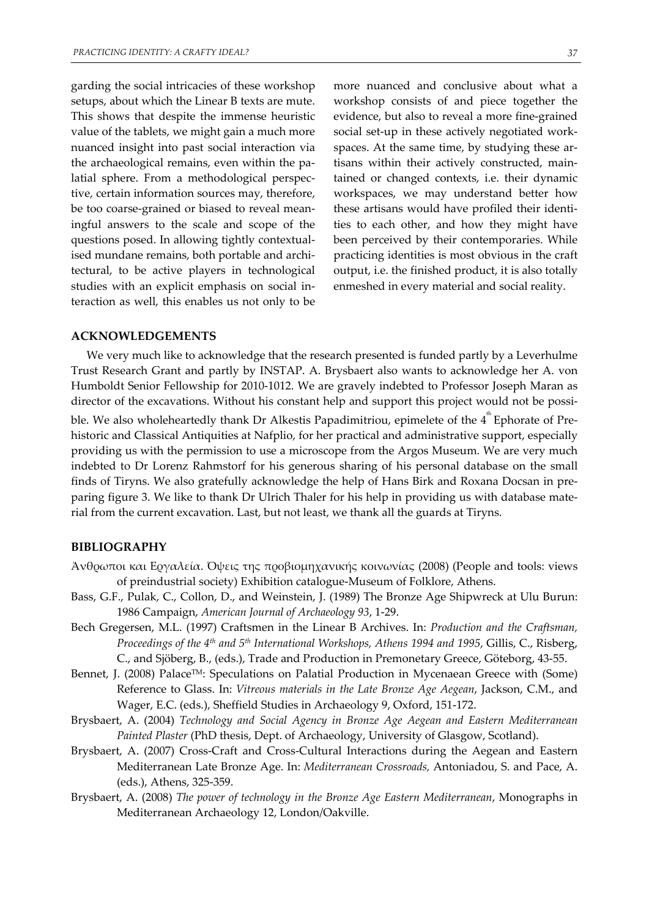garding the social intricacies of these workshop setups, about which the Linear B texts are mute. This shows that despite the immense heuristic value of the tablets, we might gain a much more nuanced insight into past social interaction via the archaeological remains, even within the pa‐ latial sphere. From a methodological perspec‐ tive, certain information sources may, therefore, be too coarse‐grained or biased to reveal mean‐ ingful answers to the scale and scope of the questions posed. In allowing tightly contextual‐ ised mundane remains, both portable and archi‐ tectural, to be active players in technological studies with an explicit emphasis on social in‐ teraction as well, this enables us not only to be

more nuanced and conclusive about what a workshop consists of and piece together the evidence, but also to reveal a more fine‐grained social set-up in these actively negotiated workspaces. At the same time, by studying these artisans within their actively constructed, main‐ tained or changed contexts, i.e. their dynamic workspaces, we may understand better how these artisans would have profiled their identi‐ ties to each other, and how they might have been perceived by their contemporaries. While practicing identities is most obvious in the craft output, i.e. the finished product, it is also totally enmeshed in every material and social reality.

#### **ACKNOWLEDGEMENTS**

We very much like to acknowledge that the research presented is funded partly by a Leverhulme Trust Research Grant and partly by INSTAP. A. Brysbaert also wants to acknowledge her A. von Humboldt Senior Fellowship for 2010‐1012. We are gravely indebted to Professor Joseph Maran as director of the excavations. Without his constant help and support this project would not be possible. We also wholeheartedly thank Dr Alkestis Papadimitriou, epimelete of the  $4^{\text{th}}$  Ephorate of Prehistoric and Classical Antiquities at Nafplio, for her practical and administrative support, especially providing us with the permission to use a microscope from the Argos Museum. We are very much indebted to Dr Lorenz Rahmstorf for his generous sharing of his personal database on the small finds of Tiryns. We also gratefully acknowledge the help of Hans Birk and Roxana Docsan in pre‐ paring figure 3. We like to thank Dr Ulrich Thaler for his help in providing us with database mate‐ rial from the current excavation. Last, but not least, we thank all the guards at Tiryns.

#### **BIBLIOGRAPHY**

- Άνθρωποι και Εργαλεία. Όψεις της προβιομηχανικής κοινωνίας (2008) (People and tools: views of preindustrial society) Exhibition catalogue‐Museum of Folklore, Athens.
- Bass, G.F., Pulak, C., Collon, D., and Weinstein, J. (1989) The Bronze Age Shipwreck at Ulu Burun: 1986 Campaign, *American Journal of Archaeology 93*, 1‐29.
- Bech Gregersen, M.L. (1997) Craftsmen in the Linear B Archives. In: *Production and the Craftsman, Proceedings of the 4th and 5th International Workshops, Athens 1994 and 1995*, Gillis, C., Risberg, C., and Sjöberg, B., (eds.), Trade and Production in Premonetary Greece, Göteborg, 43‐55.
- Bennet, J. (2008) Palace<sup>TM</sup>: Speculations on Palatial Production in Mycenaean Greece with (Some) Reference to Glass. In: *Vitreous materials in the Late Bronze Age Aegean*, Jackson, C.M., and Wager, E.C. (eds.), Sheffield Studies in Archaeology 9, Oxford, 151‐172.
- Brysbaert, A. (2004) *Technology and Social Agency in Bronze Age Aegean and Eastern Mediterranean Painted Plaster* (PhD thesis, Dept. of Archaeology, University of Glasgow, Scotland).
- Brysbaert, A. (2007) Cross‐Craft and Cross‐Cultural Interactions during the Aegean and Eastern Mediterranean Late Bronze Age. In: *Mediterranean Crossroads,* Antoniadou, S. and Pace, A. (eds.), Athens, 325‐359.
- Brysbaert, A. (2008) *The power of technology in the Bronze Age Eastern Mediterranean*, Monographs in Mediterranean Archaeology 12, London/Oakville.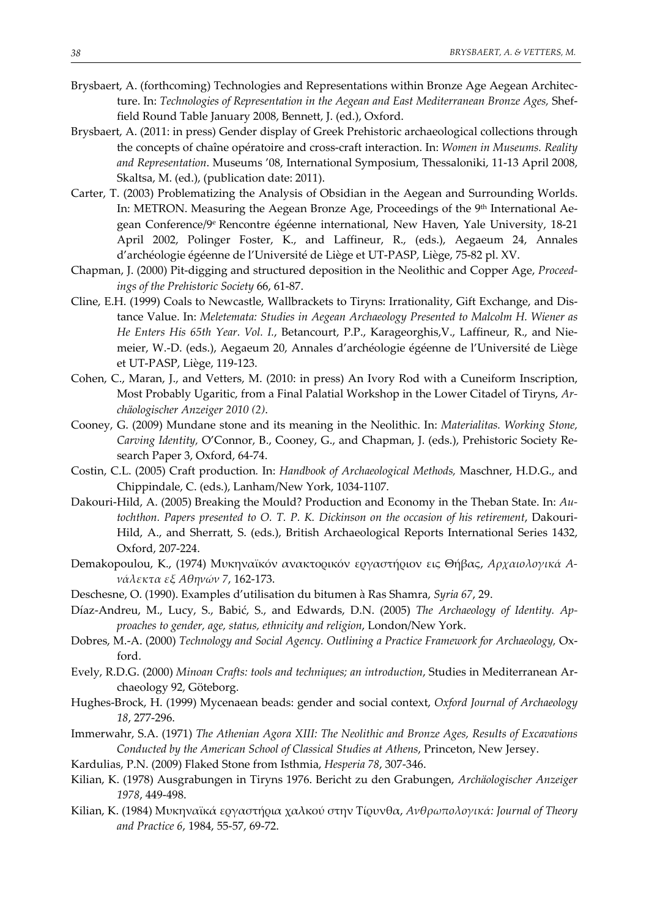- Brysbaert, A. (forthcoming) Technologies and Representations within Bronze Age Aegean Architecture. In: *Technologies of Representation in the Aegean and East Mediterranean Bronze Ages,* Shef‐ field Round Table January 2008, Bennett, J. (ed.), Oxford.
- Brysbaert, A. (2011: in press) Gender display of Greek Prehistoric archaeological collections through the concepts of chaîne opératoire and cross‐craft interaction. In: *Women in Museums. Reality and Representation*. Museums '08, International Symposium, Thessaloniki, 11‐13 April 2008, Skaltsa, M. (ed.), (publication date: 2011).
- Carter, T. (2003) Problematizing the Analysis of Obsidian in the Aegean and Surrounding Worlds. In: METRON. Measuring the Aegean Bronze Age, Proceedings of the 9<sup>th</sup> International Aegean Conference/9e Rencontre égéenne international, New Haven, Yale University, 18‐21 April 2002, Polinger Foster, K., and Laffineur, R., (eds.), Aegaeum 24, Annales d'archéologie égéenne de l'Université de Liège et UT‐PASP, Liège, 75‐82 pl. XV.
- Chapman, J. (2000) Pit‐digging and structured deposition in the Neolithic and Copper Age, *Proceed‐ ings of the Prehistoric Society* 66, 61‐87.
- Cline, E.H. (1999) Coals to Newcastle, Wallbrackets to Tiryns: Irrationality, Gift Exchange, and Dis‐ tance Value. In: *Meletemata: Studies in Aegean Archaeology Presented to Malcolm H. Wiener as He Enters His 65th Year. Vol. I.*, Betancourt, P.P., Karageorghis,V., Laffineur, R., and Nie‐ meier, W.‐D. (eds.), Aegaeum 20, Annales d'archéologie égéenne de l'Université de Liège et UT‐PASP, Liège, 119‐123.
- Cohen, C., Maran, J., and Vetters, M. (2010: in press) An Ivory Rod with a Cuneiform Inscription, Most Probably Ugaritic, from a Final Palatial Workshop in the Lower Citadel of Tiryns, *Ar‐ chäologischer Anzeiger 2010 (2)*.
- Cooney, G. (2009) Mundane stone and its meaning in the Neolithic. In: *Materialitas. Working Stone, Carving Identity,* O'Connor, B., Cooney, G., and Chapman, J. (eds.), Prehistoric Society Re‐ search Paper 3, Oxford, 64‐74.
- Costin, C.L. (2005) Craft production*.* In: *Handbook of Archaeological Methods,* Maschner, H.D.G., and Chippindale, C. (eds.), Lanham/New York, 1034‐1107.
- Dakouri‐Hild, A. (2005) Breaking the Mould? Production and Economy in the Theban State. In: *Au‐ tochthon. Papers presented to O. T. P. K. Dickinson on the occasion of his retirement*, Dakouri‐ Hild, A., and Sherratt, S. (eds.), British Archaeological Reports International Series 1432, Oxford, 207‐224.
- Demakopoulou, K., (1974) Μυκηναϊκόν ανακτορικόν εργαστήριον εις Θήβας, *Αρχαιολογικά Α‐ νάλεκτα εξ Αθηνών 7*, 162‐173.
- Deschesne, O. (1990). Examples d'utilisation du bitumen à Ras Shamra, *Syria 67*, 29.
- Díaz‐Andreu, M., Lucy, S., Babić, S., and Edwards, D.N. (2005) *The Archaeology of Identity. Ap‐ proaches to gender, age, status, ethnicity and religion*, London/New York.
- Dobres, M.‐A. (2000) *Technology and Social Agency. Outlining a Practice Framework for Archaeology,* Ox‐ ford.
- Evely, R.D.G. (2000) *Minoan Crafts: tools and techniques; an introduction*, Studies in Mediterranean Ar‐ chaeology 92, Göteborg.
- Hughes‐Brock, H. (1999) Mycenaean beads: gender and social context, *Oxford Journal of Archaeology 18*, 277‐296.
- Immerwahr, S.A. (1971) *The Athenian Agora XIII: The Neolithic and Bronze Ages, Results of Excavations Conducted by the American School of Classical Studies at Athens*, Princeton, New Jersey.
- Kardulias, P.N. (2009) Flaked Stone from Isthmia, *Hesperia 78*, 307‐346.
- Kilian, K. (1978) Ausgrabungen in Tiryns 1976. Bericht zu den Grabungen, *Archäologischer Anzeiger 1978*, 449‐498.
- Kilian, K. (1984) Μυκηναϊκά εργαστήρια χαλκού στην Τίρυνθα, *Ανθρωπολογικά: Journal of Theory and Practice 6*, 1984, 55‐57, 69‐72.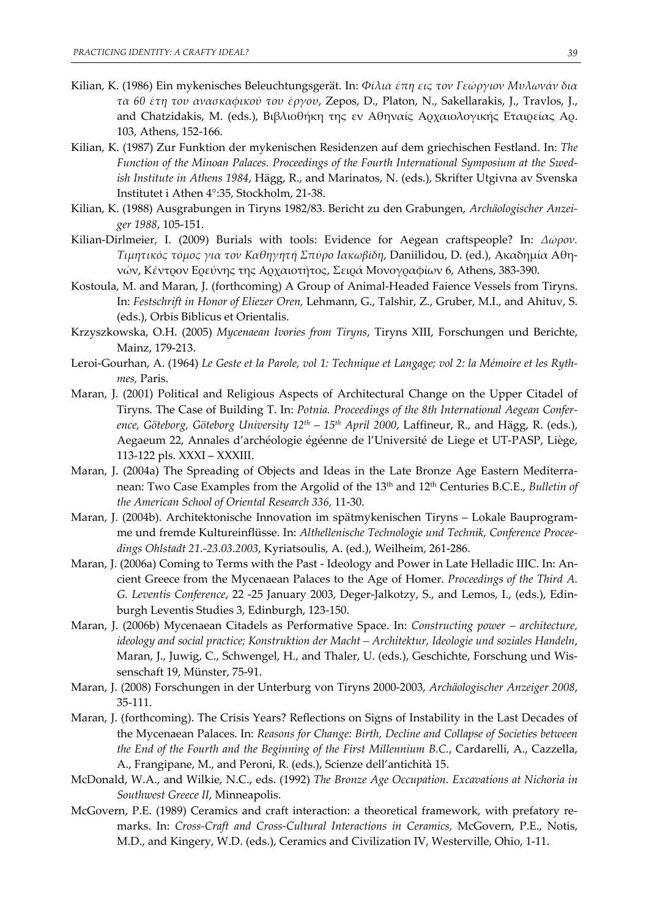- Kilian, K. (1986) Ein mykenisches Beleuchtungsgerät. In: *Φίλια έπη εις τον Γεώργιον Μυλωνάν δια τα 60 έτη του ανασκαφικού του έργου*, Zepos, D., Platon, N., Sakellarakis, J., Travlos, J., and Chatzidakis, M. (eds.), Βιβλιοθήκη της εν Αθηναίς Αρχαιολογικής Εταιρείας Αρ. 103, Athens, 152‐166.
- Kilian, K. (1987) Zur Funktion der mykenischen Residenzen auf dem griechischen Festland. In: *The Function of the Minoan Palaces. Proceedings of the Fourth International Symposium at the Swed‐ ish Institute in Athens 1984*, Hägg, R., and Marinatos, N. (eds.), Skrifter Utgivna av Svenska Institutet i Athen 4°:35, Stockholm, 21‐38.
- Kilian, K. (1988) Ausgrabungen in Tiryns 1982/83. Bericht zu den Grabungen, *Archäologischer Anzei‐ ger 1988*, 105‐151.
- Kilian‐Dirlmeier, I. (2009) Burials with tools: Evidence for Aegean craftspeople? In: *Δώρον. Τιμητικός τόμος για τον Καθηγητή Σπύρο Ιακωβίδη*, Daniilidou, D. (ed.), Ακαδημία Αθη‐ νών, Κέντρον Ερεύνης της Αρχαιοτήτος, Σειρά Μονογραφίων 6, Athens, 383‐390.
- Kostoula, M. and Maran, J. (forthcoming) A Group of Animal-Headed Faience Vessels from Tiryns. In: *Festschrift in Honor of Eliezer Oren,* Lehmann, G., Talshir, Z., Gruber, M.I., and Ahituv, S. (eds.), Orbis Biblicus et Orientalis.
- Krzyszkowska, O.H. (2005) *Mycenaean Ivories from Tiryns*, Tiryns XIII, Forschungen und Berichte, Mainz, 179‐213.
- Leroi-Gourhan, A. (1964) Le Geste et la Parole, vol 1: Technique et Langage; vol 2: la Mémoire et les Ryth*mes,* Paris.
- Maran, J. (2001) Political and Religious Aspects of Architectural Change on the Upper Citadel of Tiryns. The Case of Building T. In: *Potnia. Proceedings of the 8th International Aegean Confer‐ ence, Göteborg, Göteborg University 12th – 15th April 2000*, Laffineur, R., and Hägg, R. (eds.), Aegaeum 22, Annales d'archéologie égéenne de l'Université de Liege et UT‐PASP, Liège, 113‐122 pls. XXXI – XXXIII.
- Maran, J. (2004a) The Spreading of Objects and Ideas in the Late Bronze Age Eastern Mediterra‐ nean: Two Case Examples from the Argolid of the 13<sup>th</sup> and 12<sup>th</sup> Centuries B.C.E., *Bulletin of the American School of Oriental Research 336,* 11‐30.
- Maran, J. (2004b). Architektonische Innovation im spätmykenischen Tiryns Lokale Bauprogram‐ me und fremde Kultureinflüsse. In: *Althellenische Technologie und Technik, Conference Procee‐ dings Ohlstadt 21.‐23.03.2003*, Kyriatsoulis, A. (ed.), Weilheim, 261‐286.
- Maran, J. (2006a) Coming to Terms with the Past ‐ Ideology and Power in Late Helladic IIIC. In: An‐ cient Greece from the Mycenaean Palaces to the Age of Homer. *Proceedings of the Third A. G. Leventis Conference*, 22 ‐25 January 2003, Deger‐Jalkotzy, S., and Lemos, I., (eds.), Edin‐ burgh Leventis Studies 3, Edinburgh, 123‐150.
- Maran, J. (2006b) Mycenaean Citadels as Performative Space. In: *Constructing power – architecture, ideology and social practice; Konstruktion der Macht – Architektur, Ideologie und soziales Handeln*, Maran, J., Juwig, C., Schwengel, H., and Thaler, U. (eds.), Geschichte, Forschung und Wis‐ senschaft 19, Münster, 75‐91.
- Maran, J. (2008) Forschungen in der Unterburg von Tiryns 2000‐2003, *Archäologischer Anzeiger 2008*, 35‐111.
- Maran, J. (forthcoming). The Crisis Years? Reflections on Signs of Instability in the Last Decades of the Mycenaean Palaces. In: *Reasons for Change: Birth, Decline and Collapse of Societies between the End of the Fourth and the Beginning of the First Millennium B.C.*, Cardarelli, A., Cazzella, A., Frangipane, M., and Peroni, R. (eds.), Scienze dell'antichità 15.
- McDonald, W.A., and Wilkie, N.C., eds. (1992) *The Bronze Age Occupation. Excavations at Nichoria in Southwest Greece II*, Minneapolis.
- McGovern, P.E. (1989) Ceramics and craft interaction: a theoretical framework, with prefatory remarks. In: *Cross‐Craft and Cross‐Cultural Interactions in Ceramics,* McGovern, P.E., Notis, M.D., and Kingery, W.D. (eds.), Ceramics and Civilization IV, Westerville, Ohio, 1‐11.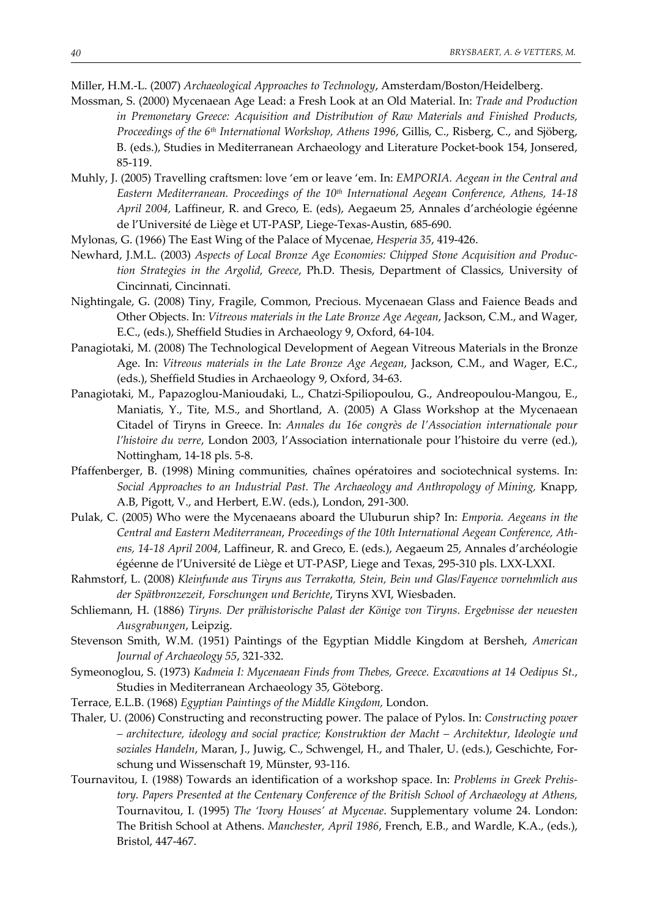Miller, H.M.‐L. (2007) *Archaeological Approaches to Technology*, Amsterdam/Boston/Heidelberg.

- Mossman, S. (2000) Mycenaean Age Lead: a Fresh Look at an Old Material. In: *Trade and Production in Premonetary Greece: Acquisition and Distribution of Raw Materials and Finished Products, Proceedings of the 6th International Workshop, Athens 1996*, Gillis, C., Risberg, C., and Sjöberg, B. (eds.), Studies in Mediterranean Archaeology and Literature Pocket-book 154, Jonsered, 85‐119.
- Muhly, J. (2005) Travelling craftsmen: love 'em or leave 'em. In: *EMPORIA. Aegean in the Central and Eastern Mediterranean. Proceedings of the 10th International Aegean Conference, Athens, 14‐18 April 2004,* Laffineur, R. and Greco, E. (eds), Aegaeum 25, Annales d'archéologie égéenne de l'Université de Liège et UT‐PASP, Liege‐Texas‐Austin, 685‐690.
- Mylonas, G. (1966) The East Wing of the Palace of Mycenae, *Hesperia 35*, 419‐426.
- Newhard, J.M.L. (2003) *Aspects of Local Bronze Age Economies: Chipped Stone Acquisition and Produc‐ tion Strategies in the Argolid, Greece*, Ph.D. Thesis, Department of Classics, University of Cincinnati, Cincinnati.
- Nightingale, G. (2008) Tiny, Fragile, Common, Precious. Mycenaean Glass and Faience Beads and Other Objects. In: *Vitreous materials in the Late Bronze Age Aegean*, Jackson, C.M., and Wager, E.C., (eds.), Sheffield Studies in Archaeology 9, Oxford, 64‐104.
- Panagiotaki, M. (2008) The Technological Development of Aegean Vitreous Materials in the Bronze Age. In: *Vitreous materials in the Late Bronze Age Aegean*, Jackson, C.M., and Wager, E.C., (eds.), Sheffield Studies in Archaeology 9, Oxford, 34‐63.
- Panagiotaki, M., Papazoglou‐Manioudaki, L., Chatzi‐Spiliopoulou, G., Andreopoulou‐Mangou, E., Maniatis, Y., Tite, M.S., and Shortland, A. (2005) A Glass Workshop at the Mycenaean Citadel of Tiryns in Greece. In: *Annales du 16e congrès de l'Association internationale pour l'histoire du verre*, London 2003, l'Association internationale pour l'histoire du verre (ed.), Nottingham, 14‐18 pls. 5‐8.
- Pfaffenberger, B. (1998) Mining communities, chaînes opératoires and sociotechnical systems. In: *Social Approaches to an Industrial Past. The Archaeology and Anthropology of Mining,* Knapp, A.B, Pigott, V., and Herbert, E.W. (eds.), London, 291‐300.
- Pulak, C. (2005) Who were the Mycenaeans aboard the Uluburun ship? In: *Emporia. Aegeans in the Central and Eastern Mediterranean*, *Proceedings of the 10th International Aegean Conference, Ath‐ ens, 14‐18 April 2004,* Laffineur, R. and Greco, E. (eds.), Aegaeum 25, Annales d'archéologie égéenne de l'Université de Liège et UT‐PASP, Liege and Texas, 295‐310 pls. LXX‐LXXI.
- Rahmstorf, L. (2008) *Kleinfunde aus Tiryns aus Terrakotta, Stein, Bein und Glas/Fayence vornehmlich aus der Spätbronzezeit, Forschungen und Berichte*, Tiryns XVI, Wiesbaden.
- Schliemann, H. (1886) *Tiryns. Der prähistorische Palast der Könige von Tiryns. Ergebnisse der neuesten Ausgrabungen*, Leipzig.
- Stevenson Smith, W.M. (1951) Paintings of the Egyptian Middle Kingdom at Bersheh, *American Journal of Archaeology 55*, 321‐332.
- Symeonoglou, S. (1973) *Kadmeia I: Mycenaean Finds from Thebes, Greece. Excavations at 14 Oedipus St.*, Studies in Mediterranean Archaeology 35, Göteborg.
- Terrace, E.L.B. (1968) *Egyptian Paintings of the Middle Kingdom,* London.
- Thaler, U. (2006) Constructing and reconstructing power. The palace of Pylos. In: *Constructing power – architecture, ideology and social practice; Konstruktion der Macht – Architektur, Ideologie und soziales Handeln*, Maran, J., Juwig, C., Schwengel, H., and Thaler, U. (eds.), Geschichte, For‐ schung und Wissenschaft 19, Münster, 93‐116.
- Tournavitou, I. (1988) Towards an identification of a workshop space. In: *Problems in Greek Prehis‐ tory. Papers Presented at the Centenary Conference of the British School of Archaeology at Athens,* Tournavitou, I. (1995) *The 'Ivory Houses' at Mycenae*. Supplementary volume 24. London: The British School at Athens. *Manchester, April 1986*, French, E.B., and Wardle, K.A., (eds.), Bristol, 447‐467.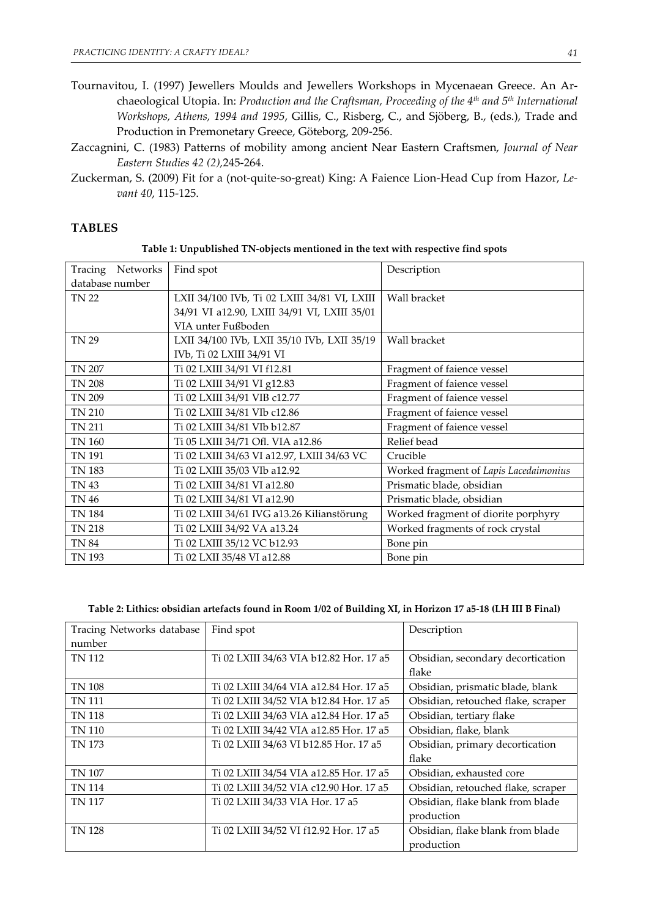- Tournavitou, I. (1997) Jewellers Moulds and Jewellers Workshops in Mycenaean Greece. An Ar‐ chaeological Utopia. In: *Production and the Craftsman, Proceeding of the 4th and 5th International Workshops, Athens, 1994 and 1995*, Gillis, C., Risberg, C., and Sjöberg, B., (eds.), Trade and Production in Premonetary Greece, Göteborg, 209‐256.
- Zaccagnini, C. (1983) Patterns of mobility among ancient Near Eastern Craftsmen, *Journal of Near Eastern Studies 42 (2),*245‐264.
- Zuckerman, S. (2009) Fit for a (not‐quite‐so‐great) King: A Faience Lion‐Head Cup from Hazor, *Le‐ vant 40*, 115‐125.

## **TABLES**

| Table 1: Unpublished TN-objects mentioned in the text with respective find spots |  |  |
|----------------------------------------------------------------------------------|--|--|
|                                                                                  |  |  |

| Tracing Networks | Find spot                                    | Description                            |
|------------------|----------------------------------------------|----------------------------------------|
| database number  |                                              |                                        |
| <b>TN 22</b>     | LXII 34/100 IVb, Ti 02 LXIII 34/81 VI, LXIII | Wall bracket                           |
|                  | 34/91 VI a12.90, LXIII 34/91 VI, LXIII 35/01 |                                        |
|                  | VIA unter Fußboden                           |                                        |
| <b>TN 29</b>     | LXII 34/100 IVb, LXII 35/10 IVb, LXII 35/19  | Wall bracket                           |
|                  | IVb, Ti 02 LXIII 34/91 VI                    |                                        |
| TN 207           | Ti 02 LXIII 34/91 VI f12.81                  | Fragment of faience vessel             |
| <b>TN 208</b>    | Ti 02 LXIII 34/91 VI g12.83                  | Fragment of faience vessel             |
| TN 209           | Ti 02 LXIII 34/91 VIB c12.77                 | Fragment of faience vessel             |
| <b>TN 210</b>    | Ti 02 LXIII 34/81 VIb c12.86                 | Fragment of faience vessel             |
| <b>TN 211</b>    | Ti 02 LXIII 34/81 VIb b12.87                 | Fragment of faience vessel             |
| <b>TN 160</b>    | Ti 05 LXIII 34/71 Ofl. VIA a12.86            | Relief bead                            |
| TN 191           | Ti 02 LXIII 34/63 VI a12.97, LXIII 34/63 VC  | Crucible                               |
| TN 183           | Ti 02 LXIII 35/03 VIb a12.92                 | Worked fragment of Lapis Lacedaimonius |
| <b>TN 43</b>     | Ti 02 LXIII 34/81 VI a12.80                  | Prismatic blade, obsidian              |
| <b>TN 46</b>     | Ti 02 LXIII 34/81 VI a12.90                  | Prismatic blade, obsidian              |
| <b>TN 184</b>    | Ti 02 LXIII 34/61 IVG a13.26 Kilianstörung   | Worked fragment of diorite porphyry    |
| TN 218           | Ti 02 LXIII 34/92 VA a13.24                  | Worked fragments of rock crystal       |
| <b>TN 84</b>     | Ti 02 LXIII 35/12 VC b12.93                  | Bone pin                               |
| <b>TN 193</b>    | Ti 02 LXII 35/48 VI a12.88                   | Bone pin                               |

| Tracing Networks database | Find spot                               | Description                        |
|---------------------------|-----------------------------------------|------------------------------------|
| number                    |                                         |                                    |
| <b>TN 112</b>             | Ti 02 LXIII 34/63 VIA b12.82 Hor. 17 a5 | Obsidian, secondary decortication  |
|                           |                                         | flake                              |
| TN 108                    | Ti 02 LXIII 34/64 VIA a12.84 Hor. 17 a5 | Obsidian, prismatic blade, blank   |
| <b>TN 111</b>             | Ti 02 LXIII 34/52 VIA b12.84 Hor. 17 a5 | Obsidian, retouched flake, scraper |
| TN 118                    | Ti 02 LXIII 34/63 VIA a12.84 Hor. 17 a5 | Obsidian, tertiary flake           |
| TN 110                    | Ti 02 LXIII 34/42 VIA a12.85 Hor. 17 a5 | Obsidian, flake, blank             |
| TN 173                    | Ti 02 LXIII 34/63 VI b12.85 Hor. 17 a5  | Obsidian, primary decortication    |
|                           |                                         | flake                              |
| TN 107                    | Ti 02 LXIII 34/54 VIA a12.85 Hor. 17 a5 | Obsidian, exhausted core           |
| TN 114                    | Ti 02 LXIII 34/52 VIA c12.90 Hor. 17 a5 | Obsidian, retouched flake, scraper |
| <b>TN 117</b>             | Ti 02 LXIII 34/33 VIA Hor. 17 a5        | Obsidian, flake blank from blade   |
|                           |                                         | production                         |
| <b>TN 128</b>             | Ti 02 LXIII 34/52 VI f12.92 Hor. 17 a5  | Obsidian, flake blank from blade   |
|                           |                                         | production                         |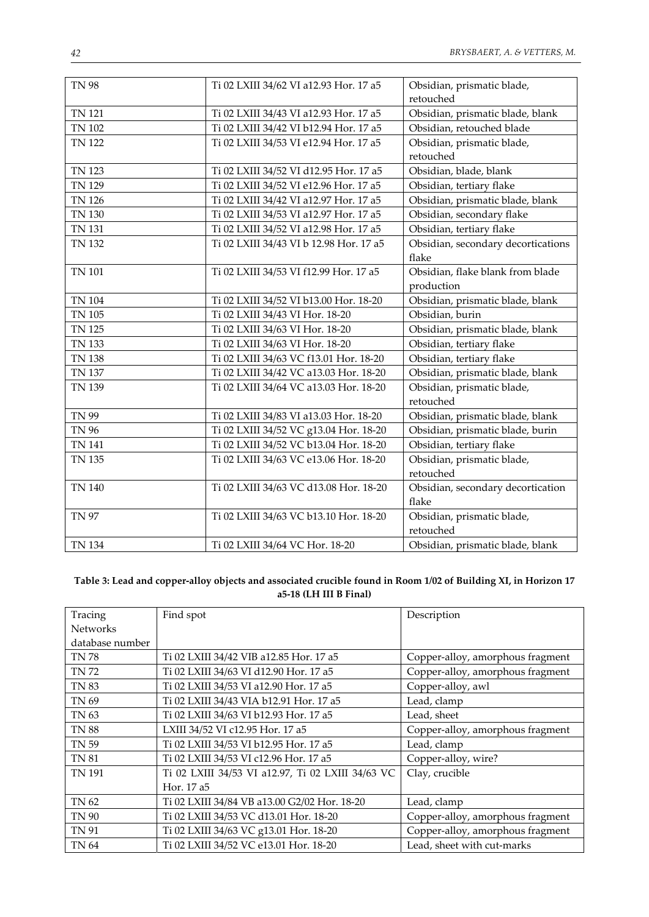| <b>TN 98</b>  | Ti 02 LXIII 34/62 VI a12.93 Hor. 17 a5  | Obsidian, prismatic blade,<br>retouched |
|---------------|-----------------------------------------|-----------------------------------------|
| <b>TN 121</b> | Ti 02 LXIII 34/43 VI a12.93 Hor. 17 a5  | Obsidian, prismatic blade, blank        |
| <b>TN 102</b> | Ti 02 LXIII 34/42 VI b12.94 Hor. 17 a5  | Obsidian, retouched blade               |
| <b>TN 122</b> | Ti 02 LXIII 34/53 VI e12.94 Hor. 17 a5  | Obsidian, prismatic blade,              |
|               |                                         | retouched                               |
| <b>TN 123</b> | Ti 02 LXIII 34/52 VI d12.95 Hor. 17 a5  | Obsidian, blade, blank                  |
| TN 129        | Ti 02 LXIII 34/52 VI e12.96 Hor. 17 a5  | Obsidian, tertiary flake                |
| <b>TN 126</b> | Ti 02 LXIII 34/42 VI a12.97 Hor. 17 a5  | Obsidian, prismatic blade, blank        |
| TN 130        | Ti 02 LXIII 34/53 VI a12.97 Hor. 17 a5  | Obsidian, secondary flake               |
| <b>TN 131</b> | Ti 02 LXIII 34/52 VI a12.98 Hor. 17 a5  | Obsidian, tertiary flake                |
| <b>TN 132</b> | Ti 02 LXIII 34/43 VI b 12.98 Hor. 17 a5 | Obsidian, secondary decortications      |
|               |                                         | flake                                   |
| <b>TN 101</b> | Ti 02 LXIII 34/53 VI f12.99 Hor. 17 a5  | Obsidian, flake blank from blade        |
|               |                                         | production                              |
| <b>TN 104</b> | Ti 02 LXIII 34/52 VI b13.00 Hor. 18-20  | Obsidian, prismatic blade, blank        |
| <b>TN 105</b> | Ti 02 LXIII 34/43 VI Hor. 18-20         | Obsidian, burin                         |
| TN 125        | Ti 02 LXIII 34/63 VI Hor. 18-20         | Obsidian, prismatic blade, blank        |
| TN 133        | Ti 02 LXIII 34/63 VI Hor. 18-20         | Obsidian, tertiary flake                |
| <b>TN 138</b> | Ti 02 LXIII 34/63 VC f13.01 Hor. 18-20  | Obsidian, tertiary flake                |
| TN 137        | Ti 02 LXIII 34/42 VC a13.03 Hor. 18-20  | Obsidian, prismatic blade, blank        |
| TN 139        | Ti 02 LXIII 34/64 VC a13.03 Hor. 18-20  | Obsidian, prismatic blade,              |
|               |                                         | retouched                               |
| <b>TN 99</b>  | Ti 02 LXIII 34/83 VI a13.03 Hor. 18-20  | Obsidian, prismatic blade, blank        |
| <b>TN 96</b>  | Ti 02 LXIII 34/52 VC g13.04 Hor. 18-20  | Obsidian, prismatic blade, burin        |
| <b>TN 141</b> | Ti 02 LXIII 34/52 VC b13.04 Hor. 18-20  | Obsidian, tertiary flake                |
| <b>TN 135</b> | Ti 02 LXIII 34/63 VC e13.06 Hor. 18-20  | Obsidian, prismatic blade,              |
|               |                                         | retouched                               |
| <b>TN 140</b> | Ti 02 LXIII 34/63 VC d13.08 Hor. 18-20  | Obsidian, secondary decortication       |
|               |                                         | flake                                   |
| <b>TN 97</b>  | Ti 02 LXIII 34/63 VC b13.10 Hor. 18-20  | Obsidian, prismatic blade,              |
|               |                                         | retouched                               |
| <b>TN 134</b> | Ti 02 LXIII 34/64 VC Hor. 18-20         | Obsidian, prismatic blade, blank        |

# Table 3: Lead and copper-alloy objects and associated crucible found in Room 1/02 of Building XI, in Horizon 17 **a5‐18 (LH III B Final)**

| Tracing         | Find spot                                         | Description                      |
|-----------------|---------------------------------------------------|----------------------------------|
| <b>Networks</b> |                                                   |                                  |
| database number |                                                   |                                  |
| <b>TN78</b>     | Ti 02 LXIII 34/42 VIB a12.85 Hor. 17 a5           | Copper-alloy, amorphous fragment |
| <b>TN72</b>     | Ti 02 LXIII 34/63 VI d12.90 Hor. 17 a5            | Copper-alloy, amorphous fragment |
| <b>TN 83</b>    | Ti 02 LXIII 34/53 VI a12.90 Hor. 17 a5            | Copper-alloy, awl                |
| TN 69           | Ti 02 LXIII 34/43 VIA b12.91 Hor. 17 a5           | Lead, clamp                      |
| TN 63           | Ti 02 LXIII 34/63 VI b12.93 Hor. 17 a5            | Lead, sheet                      |
| <b>TN 88</b>    | LXIII 34/52 VI c12.95 Hor. 17 a5                  | Copper-alloy, amorphous fragment |
| TN 59           | Ti 02 LXIII 34/53 VI b12.95 Hor. 17 a5            | Lead, clamp                      |
| <b>TN 81</b>    | Ti 02 LXIII 34/53 VI c12.96 Hor. 17 a5            | Copper-alloy, wire?              |
| <b>TN 191</b>   | Ti 02 LXIII 34/53 VI a12.97, Ti 02 LXIII 34/63 VC | Clay, crucible                   |
|                 | Hor. 17 a5                                        |                                  |
| TN 62           | Ti 02 LXIII 34/84 VB a13.00 G2/02 Hor. 18-20      | Lead, clamp                      |
| TN 90           | Ti 02 LXIII 34/53 VC d13.01 Hor. 18-20            | Copper-alloy, amorphous fragment |
| TN 91           | Ti 02 LXIII 34/63 VC g13.01 Hor. 18-20            | Copper-alloy, amorphous fragment |
| TN 64           | Ti 02 LXIII 34/52 VC e13.01 Hor. 18-20            | Lead, sheet with cut-marks       |